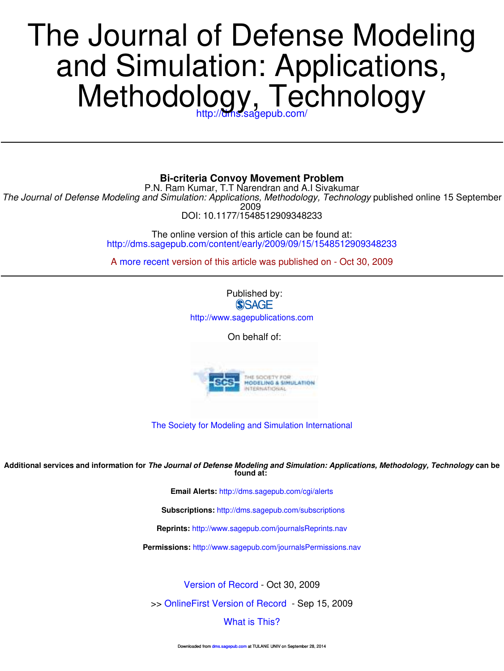# Methodology, Technology and Simulation: Applications, The Journal of Defense Modeling

**Bi-criteria Convoy Movement Problem**

2009 The Journal of Defense Modeling and Simulation: Applications, Methodology, Technology published online 15 September P.N. Ram Kumar, T.T Narendran and A.I Sivakumar

DOI: 10.1177/1548512909348233

http://dms.sagepub.com/content/early/2009/09/15/1548512909348233 The online version of this article can be found at:

A more recent version of this article was published on - Oct 30, 2009

Published by: **SSAGE** http://www.sagepublications.com On behalf of:



The Society for Modeling and Simulation International

**found at: Additional services and information for The Journal of Defense Modeling and Simulation: Applications, Methodology, Technology can be**

**Email Alerts:** http://dms.sagepub.com/cgi/alerts

**Subscriptions:** http://dms.sagepub.com/subscriptions

**Reprints:** http://www.sagepub.com/journalsReprints.nav

**Permissions:** http://www.sagepub.com/journalsPermissions.nav

Version of Record - Oct 30, 2009

>> OnlineFirst Version of Record - Sep 15, 2009

# What is This?

nloaded from dms.sagepub.com at TULANE UNIV on September 28, 2014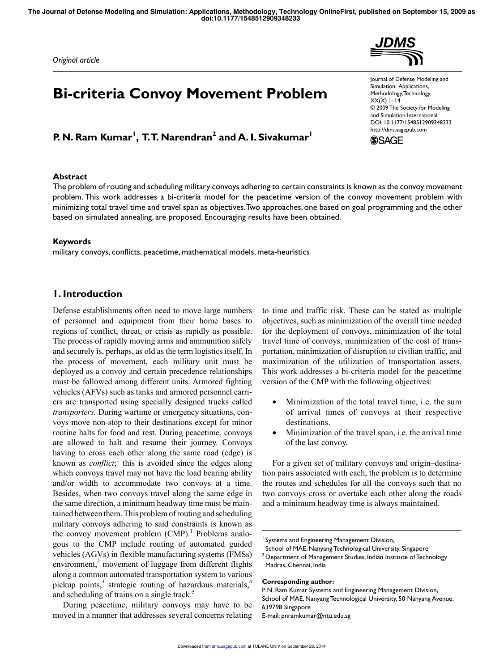**doi:10.1177/1548512909348233 The Journal of Defense Modeling and Simulation: Applications, Methodology, Technology OnlineFirst, published on September 15, 2009 as**

*Original article*

# **Bi-criteria Convoy Movement Problem**

**P. N. Ram Kumar<sup>1</sup> , T. T. Narendran<sup>2</sup> and A. I. Sivakumar<sup>1</sup>**

#### **Abstract**



Journal of Defense Modeling and Simulation: Applications, Methodology, Technology  $XX(X)$  1–14 © 2009 The Society for Modeling and Simulation International DOI: 10.1177/1548512909348233 http://dms.sagepub.com



The problem of routing and scheduling military convoys adhering to certain constraints is known as the convoy movement problem. This work addresses a bi-criteria model for the peacetime version of the convoy movement problem with minimizing total travel time and travel span as objectives. Two approaches, one based on goal programming and the other based on simulated annealing, are proposed. Encouraging results have been obtained.

### **Keywords**

military convoys, conflicts, peacetime, mathematical models, meta-heuristics

# **1. Introduction**

Defense establishments often need to move large numbers of personnel and equipment from their home bases to regions of conflict, threat, or crisis as rapidly as possible. The process of rapidly moving arms and ammunition safely and securely is, perhaps, as old as the term logistics itself. In the process of movement, each military unit must be deployed as a convoy and certain precedence relationships must be followed among different units. Armored fighting vehicles (AFVs) such as tanks and armored personnel carriers are transported using specially designed trucks called *transporters.* During wartime or emergency situations, convoys move non-stop to their destinations except for minor routine halts for food and rest. During peacetime, convoys are allowed to halt and resume their journey. Convoys having to cross each other along the same road (edge) is known as *conflict*;<sup>1</sup> this is avoided since the edges along which convoys travel may not have the load bearing ability and/or width to accommodate two convoys at a time. Besides, when two convoys travel along the same edge in the same direction, a minimum headway time must be maintained between them. This problem of routing and scheduling military convoys adhering to said constraints is known as the convoy movement problem (CMP).<sup>1</sup> Problems analogous to the CMP include routing of automated guided vehicles (AGVs) in flexible manufacturing systems (FMSs) environment, $2$  movement of luggage from different flights along a common automated transportation system to various pickup points,<sup>3</sup> strategic routing of hazardous materials,<sup>4</sup> and scheduling of trains on a single track.<sup>5</sup>

During peacetime, military convoys may have to be moved in a manner that addresses several concerns relating to time and traffic risk. These can be stated as multiple objectives, such as minimization of the overall time needed for the deployment of convoys, minimization of the total travel time of convoys, minimization of the cost of transportation, minimization of disruption to civilian traffic, and maximization of the utilization of transportation assets. This work addresses a bi-criteria model for the peacetime version of the CMP with the following objectives:

- Minimization of the total travel time, *i.e.* the sum of arrival times of convoys at their respective destinations.
- Minimization of the travel span, i.e. the arrival time of the last convoy.

For a given set of military convoys and origin–destination pairs associated with each, the problem is to determine the routes and schedules for all the convoys such that no two convoys cross or overtake each other along the roads and a minimum headway time is always maintained.

#### **Corresponding author:**

P. N. Ram Kumar Systems and Engineering Management Division, School of MAE, Nanyang Technological University, 50 Nanyang Avenue, 639798 Singapore E-mail: pnramkumar@ntu.edu.sg

<sup>&</sup>lt;sup>1</sup> Systems and Engineering Management Division,

School of MAE, Nanyang Technological University, Singapore

<sup>&</sup>lt;sup>2</sup> Department of Management Studies, Indian Institute of Technology Madras, Chennai, India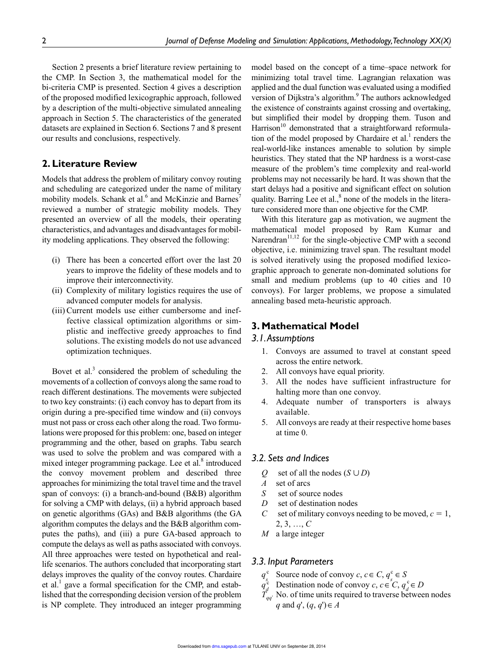Section 2 presents a brief literature review pertaining to the CMP. In Section 3, the mathematical model for the bi-criteria CMP is presented. Section 4 gives a description of the proposed modified lexicographic approach, followed by a description of the multi-objective simulated annealing approach in Section 5. The characteristics of the generated datasets are explained in Section 6. Sections 7 and 8 present our results and conclusions, respectively.

# **2. Literature Review**

Models that address the problem of military convoy routing and scheduling are categorized under the name of military mobility models. Schank et al.<sup>6</sup> and McKinzie and Barnes<sup>7</sup> reviewed a number of strategic mobility models. They presented an overview of all the models, their operating characteristics, and advantages and disadvantages for mobility modeling applications. They observed the following:

- (i) There has been a concerted effort over the last 20 years to improve the fidelity of these models and to improve their interconnectivity.
- (ii) Complexity of military logistics requires the use of advanced computer models for analysis.
- (iii) Current models use either cumbersome and ineffective classical optimization algorithms or simplistic and ineffective greedy approaches to find solutions. The existing models do not use advanced optimization techniques.

Bovet et al. $3$  considered the problem of scheduling the movements of a collection of convoys along the same road to reach different destinations. The movements were subjected to two key constraints: (i) each convoy has to depart from its origin during a pre-specified time window and (ii) convoys must not pass or cross each other along the road. Two formulations were proposed for this problem: one, based on integer programming and the other, based on graphs. Tabu search was used to solve the problem and was compared with a mixed integer programming package. Lee et al.<sup>8</sup> introduced the convoy movement problem and described three approaches for minimizing the total travel time and the travel span of convoys: (i) a branch-and-bound (B&B) algorithm for solving a CMP with delays, (ii) a hybrid approach based on genetic algorithms (GAs) and B&B algorithms (the GA algorithm computes the delays and the B&B algorithm computes the paths), and (iii) a pure GA-based approach to compute the delays as well as paths associated with convoys. All three approaches were tested on hypothetical and reallife scenarios. The authors concluded that incorporating start delays improves the quality of the convoy routes. Chardaire et al.<sup>1</sup> gave a formal specification for the CMP, and established that the corresponding decision version of the problem is NP complete. They introduced an integer programming

model based on the concept of a time–space network for minimizing total travel time. Lagrangian relaxation was applied and the dual function was evaluated using a modified version of Dijkstra's algorithm.<sup>9</sup> The authors acknowledged the existence of constraints against crossing and overtaking, but simplified their model by dropping them. Tuson and Harrison<sup>10</sup> demonstrated that a straightforward reformulation of the model proposed by Chardaire et  $al.$ <sup>1</sup> renders the real-world-like instances amenable to solution by simple heuristics. They stated that the NP hardness is a worst-case measure of the problem's time complexity and real-world problems may not necessarily be hard. It was shown that the start delays had a positive and significant effect on solution quality. Barring Lee et al.,<sup>8</sup> none of the models in the literature considered more than one objective for the CMP.

With this literature gap as motivation, we augment the mathematical model proposed by Ram Kumar and Narendran $11,12$  for the single-objective CMP with a second objective, i.e. minimizing travel span. The resultant model is solved iteratively using the proposed modified lexicographic approach to generate non-dominated solutions for small and medium problems (up to 40 cities and 10 convoys). For larger problems, we propose a simulated annealing based meta-heuristic approach.

## **3. Mathematical Model**

# *3.1. Assumptions*

- 1. Convoys are assumed to travel at constant speed across the entire network.
- 2. All convoys have equal priority.
- 3. All the nodes have sufficient infrastructure for halting more than one convoy.
- 4. Adequate number of transporters is always available.
- 5. All convoys are ready at their respective home bases at time 0.

#### *3.2. Sets and Indices*

- *Q* set of all the nodes  $(S \cup D)$
- *A* set of arcs
- *S* set of source nodes
- *D* set of destination nodes
- *C* set of military convoys needing to be moved,  $c = 1$ , 2, 3, …, *C*
- *M* a large integer

## *3.3. Input Parameters*

- *q s* Source node of convoy *c*,  $c \in C$ ,  $q_s^c \in S$
- *q d* Bestination node of convoy *c*,  $c \in C$ ,  $q_d^c \in D$
- *Tqq*' No. of time units required to traverse between nodes *q* and  $q'$ ,  $(q, q') \in A$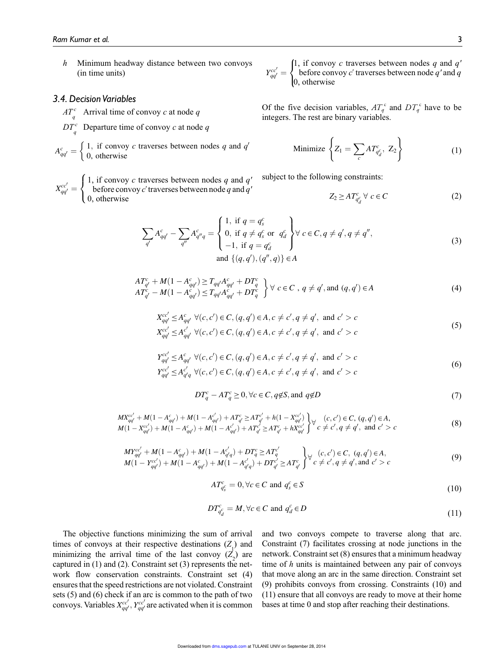*h* Minimum headway distance between two convoys (in time units)

#### *3.4. Decision Variables*

- $AT_q^q$  $\int_a^c$  Arrival time of convoy *c* at node *q*
- $DT_q^q$  $\int_{a}^{c}$  Departure time of convoy *c* at node *q*
- $A_{qq'}^c = \begin{cases} 1, & \text{if} \text{ convo } c \text{ traverses between nodes } q \text{ and } q' \\ 0, & \text{otherwise} \end{cases}$

 $X_{qq'}^{cc'}=% {\textstyle\sum\nolimits_{q\neq j}} \frac{X_{q}^{cc'}}% {X_{q}^{(q')}},X_{q}^{(q')}=0\text{.} \label{XeqXeq}%$ 1 0,  $\sqrt{2}$  $\overline{I}$  $\mathcal{L}$ 1, if convoy *c* traverses between nodes *q* and *q'* before convoy *c'* traverses between node *q* and *q'* 0, otherwise

1, if convoy *c* traverses between nodes *q* and *q'* before convoy *c'* traverses between node *q'* and *q* 0, otherwise  $Y_{qq'}^{cc'} =$  $\vert$  $\overline{I}$ :

Of the five decision variables,  $AT_q^c$  and  $DT_q^c$  have to be integers. The rest are binary variables.

$$
\text{Minimize } \left\{ Z_1 = \sum_c A T_{q_d^c}^c, Z_2 \right\} \tag{1}
$$

subject to the following constraints:

$$
Z_2 \geq AT_{q_d^c}^c \ \forall \ c \in C \tag{2}
$$

$$
\sum_{q'} A_{qq'}^c - \sum_{q''} A_{q''q}^c = \begin{cases} 1, \text{ if } q = q_s^c \\ 0, \text{ if } q \neq q_s^c \text{ or } q_d^c \\ -1, \text{ if } q = q_d^c \end{cases} \forall c \in C, q \neq q', q \neq q'',
$$
  
and  $\{(q, q'), (q'', q)\} \in A$  (3)

$$
AT_{q'}^{c} + M(1 - A_{qq'}^{c}) \ge T_{qq'}A_{qq'}^{c} + DT_{q}^{c}
$$
  
\n
$$
AT_{q'}^{c} - M(1 - A_{qq'}^{c}) \le T_{qq'}A_{qq'}^{c} + DT_{q}^{c}
$$
  $\} \forall c \in C, q \ne q', \text{and } (q, q') \in A$  (4)

$$
X_{qq'}^{cc'} \le A_{qq'}^{c} \ \forall (c, c') \in C, (q, q') \in A, c \ne c', q \ne q', \text{ and } c' > c
$$
  

$$
X_{qq'}^{cc'} \le A_{qq'}^{c'} \ \forall (c, c') \in C, (q, q') \in A, c \ne c', q \ne q', \text{ and } c' > c
$$
 (5)

$$
Y_{qq'}^{cc'} \le A_{qq'}^c \ \forall (c, c') \in C, (q, q') \in A, c \ne c', q \ne q', \text{ and } c' > c
$$
 (6)

$$
Y_{qq'}^{cc'} \le A_{q'q}^{c'} \ \forall (c, c') \in C, (q, q') \in A, c \ne c', q \ne q', \text{ and } c' > c
$$

$$
DT_q^c - AT_q^c \ge 0, \forall c \in C, q \notin S, \text{and } q \notin D
$$
\n<sup>(7)</sup>

$$
\begin{array}{l}\nM X_{qq'}^{cc'} + M(1 - A_{qq'}^c) + M(1 - A_{qq'}^{c'}) + A T_{q'}^c \geq A T_{q'}^{c'} + h(1 - X_{qq'}^{cc'}) \\
M(1 - X_{qq'}^{cc'}) + M(1 - A_{qq'}^c) + M(1 - A_{qq'}^{c'}) + A T_{q'}^{c'} \geq A T_{q'}^c + h X_{qq'}^{cc'}\n\end{array}\n\big\} \forall (c, c') \in C, (q, q') \in A,
$$
\n
$$
(8)
$$

$$
\begin{aligned}\nM_{qq'}^{rec'} + M(1 - A_{qq'}^c) + M(1 - A_{q'q'}^{c'}) + DT_q^c \geq AT_q^{c'} \\
M(1 - Y_{qq'}^{cc'}) + M(1 - A_{qq'}^c) + M(1 - A_{q'q'}^{c'}) + DT_{q'}^{c'} \geq AT_{q'}^{c'}\n\end{aligned}\n\bigg\} \forall (c, c') \in C, (q, q') \in A, \\
\begin{aligned}\n& (0, q') \in C, \quad (q, q') \in A, \\
& (9) \in C, \quad (q, q') \in C.\n\end{aligned}
$$

$$
AT_{q_s^c}^c = 0, \forall c \in C \text{ and } q_s^c \in S
$$
\n
$$
(10)
$$

$$
DT_{q_d^c}^c = M, \forall c \in C \text{ and } q_d^c \in D
$$
\n
$$
(11)
$$

The objective functions minimizing the sum of arrival times of convoys at their respective destinations  $(Z_1)$  and minimizing the arrival time of the last convoy  $(Z_2)$  are captured in (1) and (2). Constraint set (3) represents the network flow conservation constraints. Constraint set (4) ensures that the speed restrictions are not violated. Constraint sets (5) and (6) check if an arc is common to the path of two convoys. Variables  $X_{qq'}^{cc'}$ ,  $Y_{qq'}^{cc'}$  are activated when it is common

and two convoys compete to traverse along that arc. Constraint (7) facilitates crossing at node junctions in the network. Constraint set (8) ensures that a minimum headway time of *h* units is maintained between any pair of convoys that move along an arc in the same direction. Constraint set (9) prohibits convoys from crossing. Constraints (10) and (11) ensure that all convoys are ready to move at their home bases at time 0 and stop after reaching their destinations.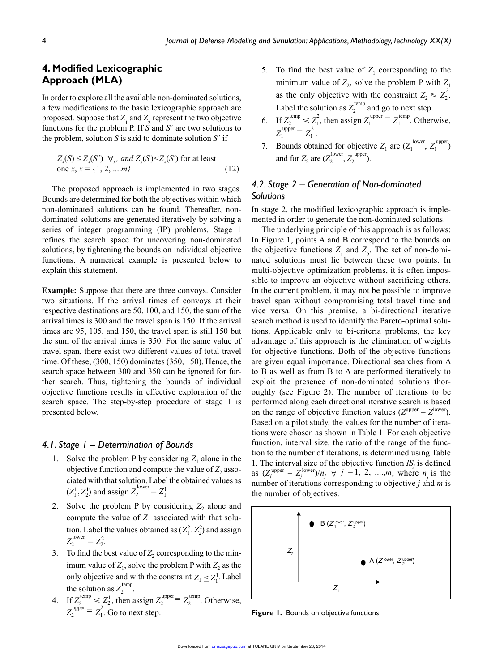# **4. Modified Lexicographic Approach (MLA)**

In order to explore all the available non-dominated solutions, a few modifications to the basic lexicographic approach are proposed. Suppose that  $Z_1$  and  $Z_2$  represent the two objective functions for the problem P. If  $\overline{S}$  and  $\overline{S}$ <sup>'</sup> are two solutions to the problem, solution *S* is said to dominate solution *S'* if

$$
Z_x(S) \le Z_x(S') \quad \forall_x, \text{ and } Z_x(S) < Z_x(S') \text{ for at least} \\ \text{one } x, \, x = \{1, 2, \dots m\} \tag{12}
$$

The proposed approach is implemented in two stages. Bounds are determined for both the objectives within which non-dominated solutions can be found. Thereafter, nondominated solutions are generated iteratively by solving a series of integer programming (IP) problems. Stage 1 refines the search space for uncovering non-dominated solutions, by tightening the bounds on individual objective functions. A numerical example is presented below to explain this statement.

**Example:** Suppose that there are three convoys. Consider two situations. If the arrival times of convoys at their respective destinations are 50, 100, and 150, the sum of the arrival times is 300 and the travel span is 150. If the arrival times are 95, 105, and 150, the travel span is still 150 but the sum of the arrival times is 350. For the same value of travel span, there exist two different values of total travel time. Of these, (300, 150) dominates (350, 150). Hence, the search space between 300 and 350 can be ignored for further search. Thus, tightening the bounds of individual objective functions results in effective exploration of the search space. The step-by-step procedure of stage 1 is presented below.

## *4.1. Stage 1 – Determination of Bounds*

- 1. Solve the problem P by considering  $Z_1$  alone in the objective function and compute the value of  $Z_2$  associated with that solution. Label the obtained values as  $(Z_1^1, Z_2^1)$  and assign  $Z_2^{\text{lower}} = Z_1^1$ .
- 2. Solve the problem P by considering  $Z_2$  alone and compute the value of  $Z_1$  associated with that solution. Label the values obtained as  $(Z_1^2, Z_2^2)$  and assign  $Z_2^{\text{lower}} = Z_2^2.$
- 3. To find the best value of  $Z_2$  corresponding to the minimum value of  $Z_1$ , solve the problem P with  $Z_2$  as the only objective and with the constraint  $Z_1 \leq Z_1^1$ . Label the solution as  $Z_2^{\text{temp}}$ .
- 4. If  $Z_2^{\text{temp}} \leq Z_2^1$ , then assign  $Z_2^{\text{upper}} = Z_2^{\text{temp}}$ . Otherwise,  $Z_2^{\text{upper}} = Z_1^2$ . Go to next step.
- 5. To find the best value of  $Z_1$  corresponding to the minimum value of  $Z_2$ , solve the problem P with  $Z_1$ as the only objective with the constraint  $Z_2 \leq Z_2^2$ . Label the solution as  $Z_2^{\text{temp}}$  and go to next step.
- 6. If  $Z_2^{\text{temp}} \leq Z_1^2$ , then assign  $Z_1^{\text{upper}} = Z_1^{\text{temp}}$ . Otherwise,  $Z_1^{\text{upper}} = Z_1^2$ .
- 7. Bounds obtained for objective  $Z_1$  are  $(Z_1^{\text{lower}}, Z_1^{\text{upper}})$ and for  $Z_2$  are  $(Z_2^{\text{lower}}, Z_2^{\text{upper}})$ .

# *4.2. Stage 2 – Generation of Non-dominated Solutions*

In stage 2, the modified lexicographic approach is implemented in order to generate the non-dominated solutions.

The underlying principle of this approach is as follows: In Figure 1, points A and B correspond to the bounds on the objective functions  $Z_1$  and  $Z_2$ . The set of non-dominated solutions must lie between these two points. In multi-objective optimization problems, it is often impossible to improve an objective without sacrificing others. In the current problem, it may not be possible to improve travel span without compromising total travel time and vice versa. On this premise, a bi-directional iterative search method is used to identify the Pareto-optimal solutions. Applicable only to bi-criteria problems, the key advantage of this approach is the elimination of weights for objective functions. Both of the objective functions are given equal importance. Directional searches from A to B as well as from B to A are performed iteratively to exploit the presence of non-dominated solutions thoroughly (see Figure 2). The number of iterations to be performed along each directional iterative search is based on the range of objective function values  $(Z^{\text{upper}} - Z^{\text{lower}})$ . Based on a pilot study, the values for the number of iterations were chosen as shown in Table 1. For each objective function, interval size, the ratio of the range of the function to the number of iterations, is determined using Table 1. The interval size of the objective function  $IS_j$  is defined as  $(Z_j^{\text{upper}} - Z_j^{\text{lower}})/n_j \quad \forall \quad j = 1, 2, ..., m$ , where  $n_j$  is the number of iterations corresponding to objective *j* and *m* is the number of objectives.



**Figure 1.** Bounds on objective functions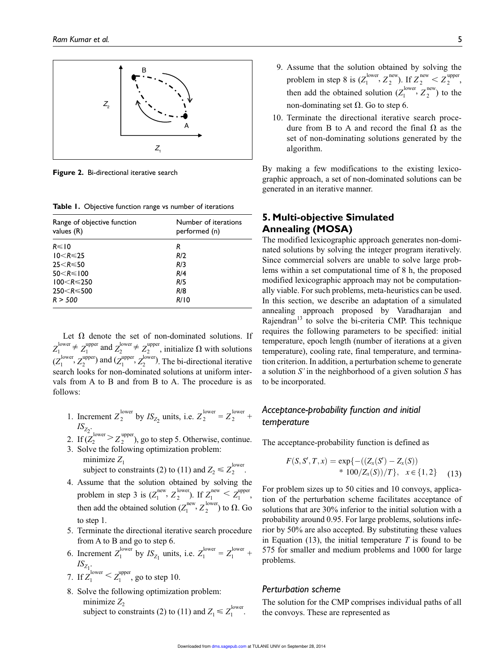

**Figure 2.** Bi-directional iterative search

**Table 1.** Objective function range vs number of iterations

| Range of objective function<br>values $(R)$ | Number of iterations<br>performed (n) |
|---------------------------------------------|---------------------------------------|
| $R \leq 10$                                 | R                                     |
| $10 < R \le 25$                             | R/2                                   |
| $25 < R \le 50$                             | R/3                                   |
| $50 < R \le 100$                            | R/4                                   |
| $100 < R \le 250$                           | R/5                                   |
| $250 < R \le 500$                           | R/8                                   |
| R > 500                                     | R/10                                  |

Let  $\Omega$  denote the set of non-dominated solutions. If  $Z_1^{\text{lower}} \neq Z_1^{\text{upper}}$  and  $Z_2^{\text{lower}} \neq Z_2^{\text{upper}}$ , initialize  $\Omega$  with solutions  $(Z_1^{\text{lower}}, Z_2^{\text{upper}})$  and  $(Z_1^{\text{upper}}, Z_2^{\text{lower}})$ . The bi-directional iterative search looks for non-dominated solutions at uniform intervals from A to B and from B to A. The procedure is as follows:

- 1. Increment  $Z_2^{\text{lower}}$  by  $IS_{Z_2}$  units, i.e.  $Z_2^{\text{lower}} = Z_2^{\text{lower}} +$  $I S_{Z_2}$ .
- 2. If  $(Z_2^{\text{lower}} > Z_2^{\text{upper}})$ , go to step 5. Otherwise, continue.
- 3. Solve the following optimization problem: minimize  $Z_1$ subject to constraints (2) to (11) and  $Z_2 \leq Z_2^{\text{lower}}$ .
- 4. Assume that the solution obtained by solving the problem in step 3 is  $(Z_1^{\text{new}}, Z_2^{\text{lower}})$ . If  $Z_1^{\text{new}} \leq Z_1^{\text{upper}}$ , then add the obtained solution  $(Z_1^{\text{new}}, Z_2^{\text{lower}})$  to  $\Omega$ . Go to step 1.
- 5. Terminate the directional iterative search procedure from A to B and go to step 6.
- 6. Increment  $Z_1^{\text{lower}}$  by  $IS_{Z_1}$  units, i.e.  $Z_1^{\text{lower}} = Z_1^{\text{lower}} +$  $I S_{Z_1}$ .
- 7. If  $Z_1^{\text{lower}} < Z_1^{\text{upper}}$ , go to step 10.
- 8. Solve the following optimization problem: minimize  $Z_2$ subject to constraints (2) to (11) and  $Z_1 \leq Z_1^{\text{lower}}$ .
- 9. Assume that the solution obtained by solving the problem in step 8 is  $(Z_1^{\text{lower}}, Z_2^{\text{new}})$ . If  $Z_2^{\text{new}} < Z_2^{\text{upper}}$ , then add the obtained solution  $(Z_1^{\text{lower}}, Z_2^{\text{new}})$  to the non-dominating set  $\Omega$ . Go to step 6.
- 10. Terminate the directional iterative search procedure from B to A and record the final  $\Omega$  as the set of non-dominating solutions generated by the algorithm.

By making a few modifications to the existing lexicographic approach, a set of non-dominated solutions can be generated in an iterative manner.

# **5. Multi-objective Simulated Annealing (MOSA)**

The modified lexicographic approach generates non-dominated solutions by solving the integer program iteratively. Since commercial solvers are unable to solve large problems within a set computational time of 8 h, the proposed modified lexicographic approach may not be computationally viable. For such problems, meta-heuristics can be used. In this section, we describe an adaptation of a simulated annealing approach proposed by Varadharajan and Rajendran $13$  to solve the bi-criteria CMP. This technique requires the following parameters to be specified: initial temperature, epoch length (number of iterations at a given temperature), cooling rate, final temperature, and termination criterion. In addition, a perturbation scheme to generate a solution *S'* in the neighborhood of a given solution *S* has to be incorporated.

# *Acceptance-probability function and initial temperature*

The acceptance-probability function is defined as

$$
F(S, S', T, x) = \exp\{-(\left(Z_x(S') - Z_x(S)\right) + 100/Z_x(S))/T\}, \quad x \in \{1, 2\} \tag{13}
$$

For problem sizes up to 50 cities and 10 convoys, application of the perturbation scheme facilitates acceptance of solutions that are 30% inferior to the initial solution with a probability around 0.95. For large problems, solutions inferior by 50% are also accepted. By substituting these values in Equation  $(13)$ , the initial temperature *T* is found to be 575 for smaller and medium problems and 1000 for large problems.

# *Perturbation scheme*

The solution for the CMP comprises individual paths of all the convoys. These are represented as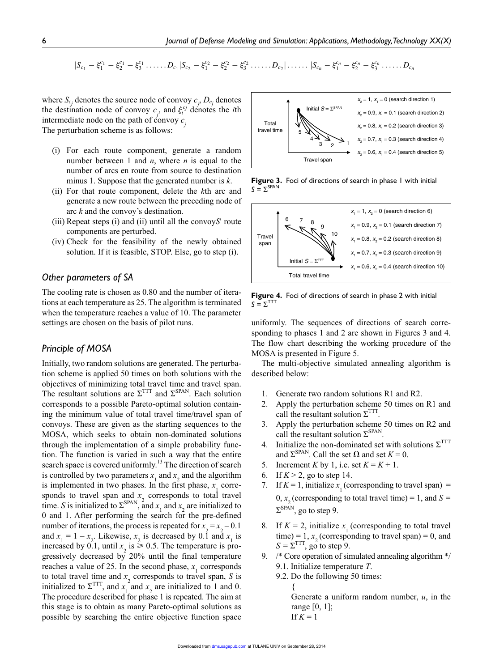$|S_{c_1} - \xi_1^{c_1} - \xi_2^{c_1} - \xi_3^{c_1} \dots \dots D_{c_1} | S_{c_2} - \xi_1^{c_2} - \xi_2^{c_2} - \xi_3^{c_2} \dots \dots D_{c_2} | \dots \dots$  $|S_{c_n} - \xi_1^{c_n} - \xi_2^{c_n} - \xi_3^{c_n} \dots D_{c_n}$ 

where  $S_{c_j}$  denotes the source node of convoy  $c_j$ ,  $D_{c_j}$  denotes the destination node of convoy  $c_j$ , and  $\xi_j^{cj}$  denotes the *i*<sup>th</sup> intermediate node on the path of convoy  $c_j$ The perturbation scheme is as follows:

- (i) For each route component, generate a random number between 1 and *n*, where *n* is equal to the number of arcs en route from source to destination minus 1. Suppose that the generated number is *k*.
- (ii) For that route component, delete the *k*th arc and generate a new route between the preceding node of arc *k* and the convoy's destination.
- (iii) Repeat steps (i) and (ii) until all the convoy*S*' route components are perturbed.
- (iv) Check for the feasibility of the newly obtained solution. If it is feasible, STOP. Else, go to step (i).

## *Other parameters of SA*

The cooling rate is chosen as 0.80 and the number of iterations at each temperature as 25. The algorithm is terminated when the temperature reaches a value of 10. The parameter settings are chosen on the basis of pilot runs.

## *Principle of MOSA*

Initially, two random solutions are generated. The perturbation scheme is applied 50 times on both solutions with the objectives of minimizing total travel time and travel span. The resultant solutions are  $\Sigma$ <sup>TTT</sup> and  $\Sigma$ <sup>SPAN</sup>. Each solution corresponds to a possible Pareto-optimal solution containing the minimum value of total travel time/travel span of convoys. These are given as the starting sequences to the MOSA, which seeks to obtain non-dominated solutions through the implementation of a simple probability function. The function is varied in such a way that the entire search space is covered uniformly.<sup>13</sup> The direction of search is controlled by two parameters  $x_1$  and  $x_2$  and the algorithm is implemented in two phases. In the first phase,  $x<sub>1</sub>$  corresponds to travel span  $\lim_{x \to 0} x^2$  corresponds to total travel time. *S* is initialized to  $\Sigma^{\text{SPAN}}$ , and  $x_1$  and  $x_2$  are initialized to 0 and 1. After performing the search for the pre-defined number of iterations, the process is repeated for  $x_2 = x_2 - 0.1$ and  $x_1 = 1 - x_2$ . Likewise,  $x_2$  is decreased by 0.1 and  $x_1$  is increased by 0.1, until  $x_2$  is  $\ge 0.5$ . The temperature is progressively decreased by 20% until the final temperature reaches a value of 25. In the second phase,  $x_1$  corresponds to total travel time and  $x_2$  corresponds to travel span, *S* is initialized to  $\Sigma^{\text{TTT}}$ , and  $x_1^2$  and  $x_2$  are initialized to 1 and 0. The procedure described for phase 1 is repeated. The aim at this stage is to obtain as many Pareto-optimal solutions as possible by searching the entire objective function space







**Figure 4.** Foci of directions of search in phase 2 with initial  $S = \Sigma^{TTT}$ 

uniformly. The sequences of directions of search corresponding to phases 1 and 2 are shown in Figures 3 and 4. The flow chart describing the working procedure of the MOSA is presented in Figure 5.

The multi-objective simulated annealing algorithm is described below:

- 1. Generate two random solutions R1 and R2.
- 2. Apply the perturbation scheme 50 times on R1 and call the resultant solution  $\Sigma^{TTT}$ .
- 3. Apply the perturbation scheme 50 times on R2 and call the resultant solution  $\Sigma^{\text{SPAN}}$ .
- 4. Initialize the non-dominated set with solutions  $\Sigma^{TTT}$ and  $\Sigma^{\text{SPAN}}$ . Call the set  $\Omega$  and set  $K = 0$ .
- 5. Increment *K* by 1, i.e. set  $K = K + 1$ .
- 6. If  $K > 2$ , go to step 14.
- 7. If  $K = 1$ , initialize  $x_1$  (corresponding to travel span) = 0,  $x_2$  (corresponding to total travel time) = 1, and  $S =$  $\Sigma^{\text{SPAN}}$ , go to step 9.
- 8. If  $K = 2$ , initialize  $x_1$  (corresponding to total travel time) = 1,  $x_2$  (corresponding to travel span) = 0, and  $S = \Sigma^{\text{TTT}}$ , go to step 9.
- 9. /\* Core operation of simulated annealing algorithm \*/ 9.1. Initialize temperature *T*.

9.2. Do the following 50 times:

 $\sim$   $\sim$   $\sim$   $\sim$   $\sim$   $\sim$ 

 Generate a uniform random number, *u*, in the range [0, 1]; If  $K = 1$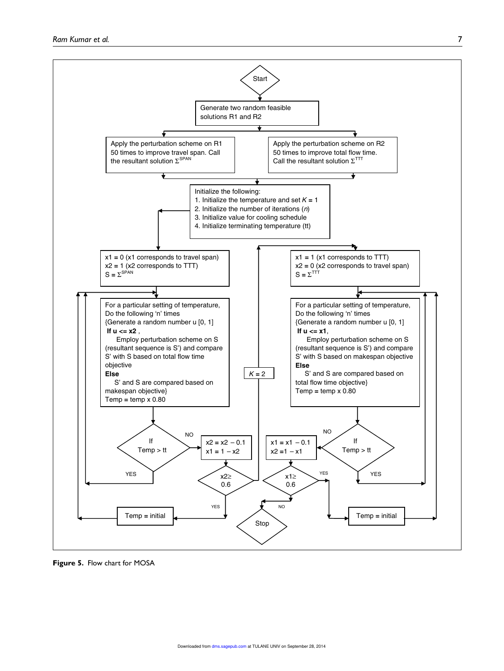

**Figure 5.** Flow chart for MOSA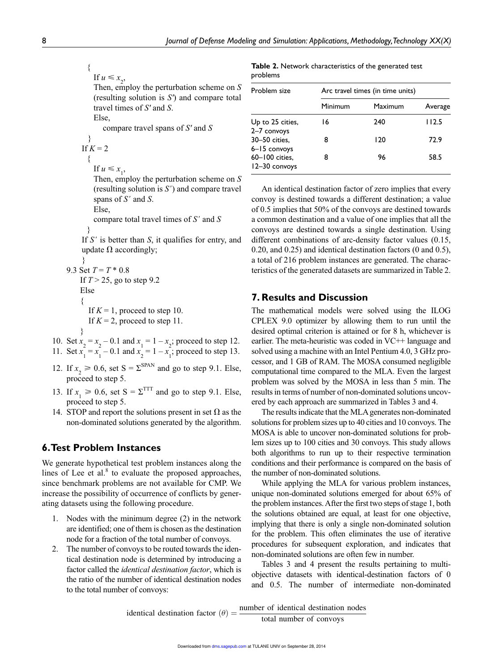$\sim$   $\sim$   $\sim$   $\sim$   $\sim$   $\sim$ If  $u \leq x_2$ ,

 Then, employ the perturbation scheme on *S* (resulting solution is *S'*) and compare total travel times of *S'* and *S*. Else,

compare travel spans of *S'* and *S*

 } If  $K = 2$ 

 $\sim$   $\sim$   $\sim$   $\sim$   $\sim$   $\sim$ 

If  $u \leq x_1$ ,

 Then, employ the perturbation scheme on *S* (resulting solution is *S'*) and compare travel spans of *S'* and *S*.

Else,

compare total travel times of *S'* and *S*

 } If *S'* is better than *S*, it qualifies for entry, and update  $\Omega$  accordingly;

 } 9.3 Set *T* = *T* \* 0.8 If *T* > 25, go to step 9.2 Else  $\{$ If  $K = 1$ , proceed to step 10.

If 
$$
K = 2
$$
, proceed to step 11.

- } 10. Set  $x_2 = x_2 - 0.1$  and  $x_1 = 1 - x_2$ ; proceed to step 12.
- 11. Set  $x_1 = x_1 0.1$  and  $x_2 = 1 x_1$ ; proceed to step 13.
- 12. If  $x_2 \ge 0.6$ , set  $S = \Sigma^{SPAN}$  and go to step 9.1. Else, proceed to step 5.
- 13. If  $x_1 \ge 0.6$ , set  $S = \Sigma^{TTT}$  and go to step 9.1. Else, proceed to step 5.
- 14. STOP and report the solutions present in set  $\Omega$  as the non-dominated solutions generated by the algorithm.

# **6. Test Problem Instances**

We generate hypothetical test problem instances along the lines of Lee et al. $8$  to evaluate the proposed approaches, since benchmark problems are not available for CMP. We increase the possibility of occurrence of conflicts by generating datasets using the following procedure.

- 1. Nodes with the minimum degree (2) in the network are identified; one of them is chosen as the destination node for a fraction of the total number of convoys.
- 2. The number of convoys to be routed towards the identical destination node is determined by introducing a factor called the *identical destination factor*, which is the ratio of the number of identical destination nodes to the total number of convoys:

**Table 2.** Network characteristics of the generated test problems

| Problem size                    | Arc travel times (in time units) |         |         |  |
|---------------------------------|----------------------------------|---------|---------|--|
|                                 | Minimum                          | Maximum | Average |  |
| Up to 25 cities,<br>2-7 convoys | 16                               | 240     | 112.5   |  |
| 30-50 cities.<br>6-15 convoys   | 8                                | 120     | 72.9    |  |
| 60-100 cities,<br>12-30 convoys | 8                                | 96      | 58.5    |  |

An identical destination factor of zero implies that every convoy is destined towards a different destination; a value of 0.5 implies that 50% of the convoys are destined towards a common destination and a value of one implies that all the convoys are destined towards a single destination. Using different combinations of arc-density factor values (0.15, 0.20, and 0.25) and identical destination factors (0 and 0.5), a total of 216 problem instances are generated. The characteristics of the generated datasets are summarized in Table 2.

# **7. Results and Discussion**

The mathematical models were solved using the ILOG CPLEX 9.0 optimizer by allowing them to run until the desired optimal criterion is attained or for 8 h, whichever is earlier. The meta-heuristic was coded in VC++ language and solved using a machine with an Intel Pentium 4.0, 3 GHz processor, and 1 GB of RAM. The MOSA consumed negligible computational time compared to the MLA. Even the largest problem was solved by the MOSA in less than 5 min. The results in terms of number of non-dominated solutions uncovered by each approach are summarized in Tables 3 and 4.

The results indicate that the MLA generates non-dominated solutions for problem sizes up to 40 cities and 10 convoys. The MOSA is able to uncover non-dominated solutions for problem sizes up to 100 cities and 30 convoys. This study allows both algorithms to run up to their respective termination conditions and their performance is compared on the basis of the number of non-dominated solutions.

While applying the MLA for various problem instances, unique non-dominated solutions emerged for about 65% of the problem instances. After the first two steps of stage 1, both the solutions obtained are equal, at least for one objective, implying that there is only a single non-dominated solution for the problem. This often eliminates the use of iterative procedures for subsequent exploration, and indicates that non-dominated solutions are often few in number.

Tables 3 and 4 present the results pertaining to multiobjective datasets with identical-destination factors of 0 and 0.5. The number of intermediate non-dominated

identical destination factor  $(\theta) = \frac{\text{number of identical destination nodes}}{(\theta)}$ total number of convoys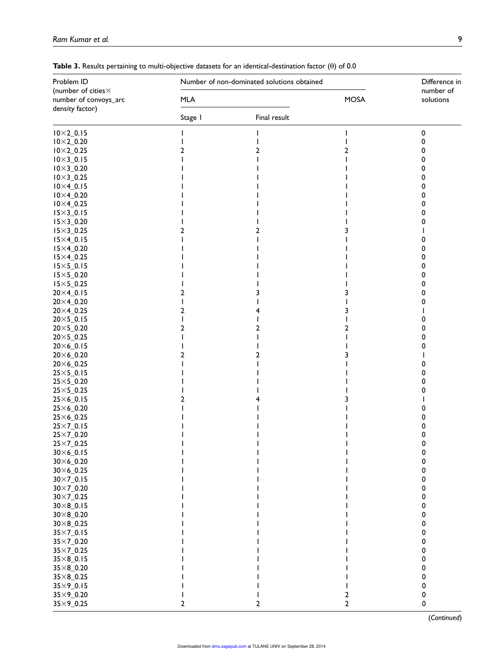| Problem ID<br>(number of cities $\times$<br>number of convoys_arc<br>density factor) | Number of non-dominated solutions obtained |              | Difference in |                        |
|--------------------------------------------------------------------------------------|--------------------------------------------|--------------|---------------|------------------------|
|                                                                                      | <b>MLA</b>                                 |              | <b>MOSA</b>   | number of<br>solutions |
|                                                                                      | Stage I                                    | Final result |               |                        |
| $10 \times 2_0.15$                                                                   |                                            |              |               | 0                      |
| $10\times2_{0.20}$                                                                   |                                            |              |               | 0                      |
| $10\times2_{0.25}$                                                                   |                                            |              |               | 0                      |
| $10 \times 3_0.15$                                                                   |                                            |              |               | 0                      |
| $10\times3_{-}0.20$                                                                  |                                            |              |               | 0                      |
| $10 \times 3 - 0.25$                                                                 |                                            |              |               | 0                      |
| $10\times4_{0.15}$                                                                   |                                            |              |               | 0                      |
| $10\times4_{.0.20}$                                                                  |                                            |              |               | 0                      |
| $10\times4_{.0.25}$                                                                  |                                            |              |               | 0                      |
| $15 \times 3_0.15$                                                                   |                                            |              |               | 0                      |
| $15 \times 3_{0.20}$                                                                 |                                            |              |               | 0                      |
| $15 \times 3_0.25$<br>$15 \times 4_0.15$                                             |                                            |              |               | 0                      |
| $15\times4_{0.20}$                                                                   |                                            |              |               | 0                      |
| $15\times4_{0.25}$                                                                   |                                            |              |               | 0                      |
| $15 \times 5_0.15$                                                                   |                                            |              |               | 0                      |
| $15 \times 5 - 0.20$                                                                 |                                            |              |               | 0                      |
| $15 \times 5 - 0.25$                                                                 |                                            |              |               | 0                      |
| $20 \times 4_0.15$                                                                   |                                            |              |               | 0                      |
| $20\times4_{0.20}$                                                                   |                                            |              |               | 0                      |
| $20\times4$ 0.25                                                                     |                                            |              |               |                        |
| $20 \times 5_0.15$                                                                   |                                            |              |               | 0                      |
| $20\times5\_0.20$                                                                    |                                            | 2            |               | 0                      |
| $20 \times 5 - 0.25$                                                                 |                                            |              |               | 0                      |
| $20\times 6_0.15$                                                                    |                                            |              |               | 0                      |
| $20\times 6$ 0.20                                                                    |                                            |              |               |                        |
| $20\times 6$ 0.25                                                                    |                                            |              |               | 0                      |
| $25 \times 5_0.15$                                                                   |                                            |              |               | 0                      |
| $25 \times 5 - 0.20$                                                                 |                                            |              |               | 0                      |
| $25 \times 5 - 0.25$                                                                 |                                            |              |               | 0                      |
| $25\times6_0.15$                                                                     |                                            |              |               |                        |
| $25\times 6_0.20$                                                                    |                                            |              |               | 0                      |
| $25\times6\_0.25$                                                                    |                                            |              |               | 0                      |
| $25 \times 7_0.15$                                                                   |                                            |              |               | 0                      |
| $25 \times 7_0.20$                                                                   |                                            |              |               | 0                      |
| $25\times7\_0.25$                                                                    |                                            |              |               |                        |
| $30\times 6_0.15$<br>$30\times 6$ 0.20                                               |                                            |              |               | 0                      |
| $30\times 6$ 0.25                                                                    |                                            |              |               | 0                      |
| $30 \times 7_0.15$                                                                   |                                            |              |               | 0                      |
| $30\times7_{0.20}$                                                                   |                                            |              |               | 0                      |
| $30\times7_{0.25}$                                                                   |                                            |              |               | 0                      |
| $30 \times 8_0.15$                                                                   |                                            |              |               | 0                      |
| $30\times8\_0.20$                                                                    |                                            |              |               | 0                      |
| $30\times8\_0.25$                                                                    |                                            |              |               | 0                      |
| $35 \times 7_0.15$                                                                   |                                            |              |               | 0                      |
| $35\times7\_0.20$                                                                    |                                            |              |               | 0                      |
| $35 \times 7_0.25$                                                                   |                                            |              |               | 0                      |
| $35\times8_0.15$                                                                     |                                            |              |               | 0                      |
| $35\times8\_0.20$                                                                    |                                            |              |               | 0                      |
| $35\times8\_0.25$                                                                    |                                            |              |               | 0                      |
| $35 \times 9_0.15$                                                                   |                                            |              |               | 0                      |
| $35\times9\_0.20$                                                                    |                                            |              |               | 0                      |
| $35\times9\_0.25$                                                                    |                                            | 2            | 2             | 0                      |

**Table 3.** Results pertaining to multi-objective datasets for an identical-destination factor (θ) of 0.0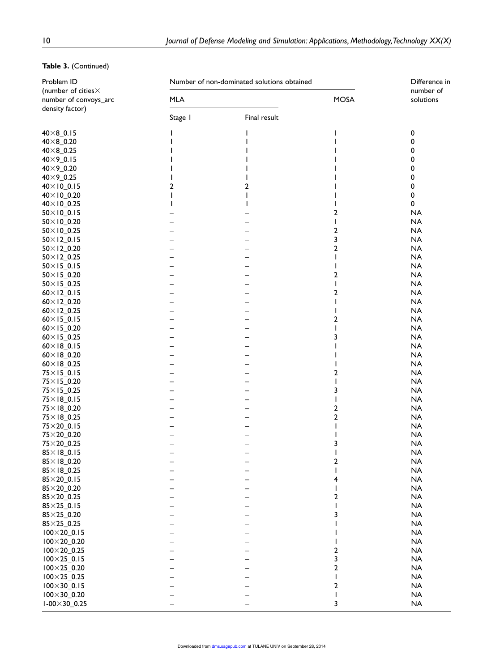| Problem ID                                                             | Number of non-dominated solutions obtained |              |                         | Difference in          |
|------------------------------------------------------------------------|--------------------------------------------|--------------|-------------------------|------------------------|
| (number of cities $\times$<br>number of convoys_arc<br>density factor) | <b>MLA</b>                                 |              | <b>MOSA</b>             | number of<br>solutions |
|                                                                        | Stage I                                    | Final result |                         |                        |
| $40 \times 8_0.15$                                                     |                                            |              |                         | 0                      |
| $40\times8_{.0.20}$                                                    |                                            |              |                         | 0                      |
| $40\times8$ 0.25                                                       |                                            |              |                         | 0                      |
| $40\times9$ 0.15                                                       |                                            |              |                         | 0                      |
| $40\times9_{.0.20}$                                                    |                                            |              |                         | 0                      |
| $40\times9$ 0.25                                                       |                                            |              |                         | 0                      |
| $40 \times 10$ 0.15                                                    | 2                                          | 2            |                         | 0                      |
| $40 \times 10$ 0.20                                                    |                                            |              |                         | 0                      |
| $40 \times 10$ 0.25                                                    |                                            |              |                         | 0                      |
| $50 \times 10$ 0.15                                                    |                                            |              | 2                       | <b>NA</b>              |
| $50 \times 10$ 0.20                                                    |                                            |              |                         | <b>NA</b>              |
|                                                                        |                                            |              | 2                       | <b>NA</b>              |
| $50 \times 10$ 0.25                                                    |                                            |              | 3                       |                        |
| $50 \times 12 - 0.15$                                                  |                                            |              |                         | <b>NA</b>              |
| $50 \times 12 - 0.20$                                                  |                                            |              | $\overline{2}$          | <b>NA</b>              |
| $50 \times 12 - 0.25$                                                  |                                            |              |                         | <b>NA</b>              |
| $50 \times 15 - 0.15$                                                  |                                            |              |                         | <b>NA</b>              |
| $50 \times 15 - 0.20$                                                  |                                            |              | 2                       | <b>NA</b>              |
| $50 \times 15 - 0.25$                                                  |                                            |              |                         | <b>NA</b>              |
| $60 \times 12 - 0.15$                                                  |                                            |              | 2                       | <b>NA</b>              |
| $60 \times 12$ 0.20                                                    |                                            |              |                         | <b>NA</b>              |
| $60 \times 12$ 0.25                                                    |                                            |              |                         | <b>NA</b>              |
| $60 \times 15 - 0.15$                                                  |                                            |              | 2                       | <b>NA</b>              |
| $60 \times 15 - 0.20$                                                  |                                            |              |                         | <b>NA</b>              |
| $60 \times 15 - 0.25$                                                  |                                            |              | 3                       | <b>NA</b>              |
| $60 \times 18$ <sup>0.15</sup>                                         |                                            |              |                         | <b>NA</b>              |
| $60 \times 18$ <sup>0.20</sup>                                         |                                            |              |                         | <b>NA</b>              |
| $60 \times 18$ <sup>0.25</sup>                                         |                                            |              |                         | <b>NA</b>              |
| $75 \times 15 - 0.15$                                                  |                                            |              | 2                       | <b>NA</b>              |
| $75 \times 15 - 0.20$                                                  |                                            |              |                         | <b>NA</b>              |
| $75 \times 15 - 0.25$                                                  |                                            |              | 3                       | <b>NA</b>              |
| $75 \times 18$ <sup>0.15</sup>                                         |                                            |              |                         | <b>NA</b>              |
| $75\times18\_0.20$                                                     |                                            |              | 2                       | <b>NA</b>              |
| 75×18_0.25                                                             |                                            |              | $\overline{\mathbf{c}}$ | <b>NA</b>              |
| $75 \times 20$ 0.15                                                    |                                            |              |                         | <b>NA</b>              |
| 75×20_0.20                                                             |                                            |              |                         | <b>NA</b>              |
| $75\times20\_0.25$                                                     |                                            |              | 3                       | <b>NA</b>              |
|                                                                        |                                            |              |                         |                        |
| $85 \times 18 - 0.15$                                                  |                                            |              |                         | $\sf NA$               |
| $85 \times 18 - 0.20$                                                  |                                            |              | $\mathbf 2$             | NA                     |
| $85 \times 18 - 0.25$                                                  |                                            |              |                         | <b>NA</b>              |
| $85 \times 20$ 0.15                                                    |                                            |              | 4                       | NA                     |
| $85\times20$ 0.20                                                      |                                            |              |                         | $\sf NA$               |
| $85\times20$ 0.25                                                      |                                            |              | $\mathbf 2$             | <b>NA</b>              |
| $85 \times 25 - 0.15$                                                  |                                            |              |                         | <b>NA</b>              |
| $85\times25$ 0.20                                                      |                                            |              | 3                       | <b>NA</b>              |
| $85 \times 25 - 0.25$                                                  |                                            |              |                         | NA                     |
| $100 \times 20$ 0.15                                                   |                                            |              |                         | <b>NA</b>              |
| $100\times20$ 0.20                                                     |                                            |              |                         | <b>NA</b>              |
| $100\times20$ 0.25                                                     |                                            |              | $\overline{\mathbf{c}}$ | <b>NA</b>              |
| $100 \times 25 - 0.15$                                                 |                                            |              | 3                       | $\sf NA$               |
| $100 \times 25 - 0.20$                                                 |                                            |              | $\mathbf 2$             | <b>NA</b>              |
| $100\times25\_0.25$                                                    |                                            |              |                         | <b>NA</b>              |
| $100 \times 30$ 0.15                                                   |                                            |              | $\mathbf{2}$            | $\sf NA$               |
| $100 \times 30$ 0.20                                                   |                                            |              | $\mathbf{I}$            | $\sf NA$               |
| $1-00 \times 30 - 0.25$                                                |                                            |              | 3                       | <b>NA</b>              |
|                                                                        |                                            |              |                         |                        |

# **Table 3.** (Continued)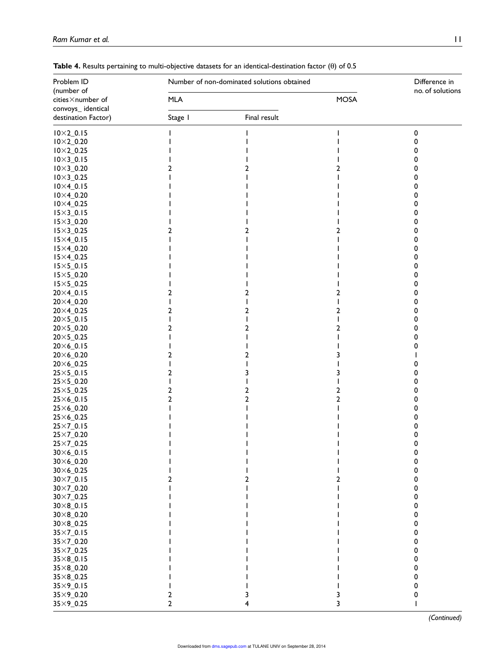| Problem ID<br>(number of<br>cities $\times$ number of<br>convoys_identical<br>destination Factor) | Number of non-dominated solutions obtained |              |             | Difference in<br>no. of solutions |
|---------------------------------------------------------------------------------------------------|--------------------------------------------|--------------|-------------|-----------------------------------|
|                                                                                                   | <b>MLA</b>                                 |              | <b>MOSA</b> |                                   |
|                                                                                                   | Stage I                                    | Final result |             |                                   |
| $10 \times 2_0.15$                                                                                |                                            |              |             | 0                                 |
| $10\times2_{0.20}$                                                                                |                                            |              |             | 0                                 |
| $10\times2_{0.25}$                                                                                |                                            |              |             | 0                                 |
| $10 \times 3_0.15$                                                                                |                                            |              |             | 0                                 |
| $10\times3_{.0.20}$                                                                               |                                            |              |             | 0                                 |
| $10 \times 3_0.25$                                                                                |                                            |              |             | 0                                 |
| $10 \times 4_0.15$                                                                                |                                            |              |             | 0                                 |
| $10\times4_{.0.20}$                                                                               |                                            |              |             | 0                                 |
| $10\times4_{.0.25}$                                                                               |                                            |              |             | 0                                 |
| $15 \times 3_0.15$                                                                                |                                            |              |             | 0                                 |
| $15 \times 3_0.20$                                                                                |                                            |              |             | 0                                 |
| $15 \times 3_0.25$                                                                                |                                            |              |             | 0                                 |
| $15 \times 4_0.15$                                                                                |                                            |              |             | 0                                 |
| $15\times4_{0.20}$                                                                                |                                            |              |             | 0                                 |
| $15\times4_{0.25}$                                                                                |                                            |              |             | 0                                 |
| $15 \times 5_0.15$                                                                                |                                            |              |             | 0                                 |
| $15\times5_0.20$                                                                                  |                                            |              |             | 0                                 |
| $15 \times 5 - 0.25$                                                                              |                                            |              |             | 0                                 |
| $20 \times 4_0.15$                                                                                |                                            |              | 2           | 0                                 |
| $20\times4_{0.20}$                                                                                |                                            |              |             | 0                                 |
| $20\times4_{.}0.25$                                                                               | 2                                          | 2            | 2           | 0                                 |
| $20 \times 5_0.15$                                                                                |                                            |              |             | 0                                 |
| $20 \times 5 - 0.20$                                                                              |                                            |              | 2           | 0                                 |
| $20 \times 5 - 0.25$                                                                              |                                            |              |             |                                   |
| $20\times 6_0.15$                                                                                 |                                            |              |             |                                   |
| $20\times 6$ 0.20                                                                                 | 2                                          |              |             |                                   |
| $20\times 6$ 0.25                                                                                 |                                            |              |             |                                   |
| $25 \times 5_0.15$                                                                                |                                            |              | 3           |                                   |
| $25\times5\_0.20$                                                                                 |                                            |              |             | 0                                 |
| $25\times5\_0.25$                                                                                 | 2                                          | 2            | 2           | 0                                 |
| $25\times6_0.15$                                                                                  | 2                                          | 2            | 2           | 0                                 |
| $25\times 6_0.20$                                                                                 |                                            |              |             | o                                 |
| $25\times 6$ 0.25                                                                                 |                                            |              |             | 0                                 |
| $25 \times 7_0.15$                                                                                |                                            |              |             |                                   |
| $25 \times 7 - 0.20$                                                                              |                                            |              |             | 0                                 |
| $25 \times 7_0.25$                                                                                |                                            |              |             |                                   |
| $30\times 6_0.15$                                                                                 |                                            |              |             |                                   |
| $30\times 6\_0.20$                                                                                |                                            |              |             |                                   |
| $30\times 6$ 0.25                                                                                 |                                            |              |             | n                                 |
| $30\times7_{0.15}$                                                                                |                                            |              |             | 0                                 |
| $30\times7\_0.20$                                                                                 |                                            |              |             | 0                                 |
| $30\times7_{.0.25}$                                                                               |                                            |              |             | 0                                 |
| $30 \times 8_0.15$                                                                                |                                            |              |             | 0                                 |
| $30\times8\_0.20$                                                                                 |                                            |              |             | 0                                 |
| $30\times8\_0.25$                                                                                 |                                            |              |             | 0                                 |
| $35 \times 7_0.15$                                                                                |                                            |              |             | 0                                 |
| $35\times7\_0.20$                                                                                 |                                            |              |             | 0                                 |
| $35\times7\_0.25$                                                                                 |                                            |              |             | 0                                 |
| $35 \times 8_0.15$                                                                                |                                            |              |             | 0                                 |
| $35\times8\_0.20$                                                                                 |                                            |              |             | 0                                 |
| $35\times8\_0.25$                                                                                 |                                            |              |             | 0                                 |
| $35 \times 9_0.15$                                                                                |                                            |              |             | 0                                 |
| $35\times9\_0.20$                                                                                 |                                            |              |             | 0                                 |
| $35\times9\_0.25$                                                                                 | 2                                          |              | 3           |                                   |

| Table 4. Results pertaining to multi-objective datasets for an identical-destination factor ( $\theta$ ) of 0.5 |  |  |  |
|-----------------------------------------------------------------------------------------------------------------|--|--|--|
|-----------------------------------------------------------------------------------------------------------------|--|--|--|

*(Continued)*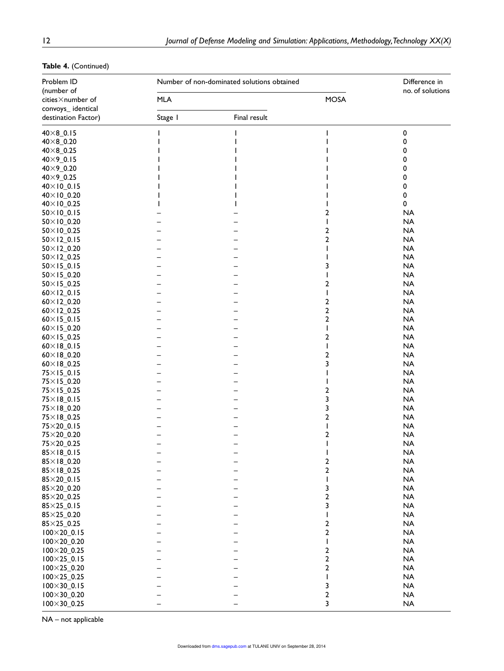| Problem ID<br>(number of                                              | Number of non-dominated solutions obtained |              |                         | Difference in<br>no. of solutions |
|-----------------------------------------------------------------------|--------------------------------------------|--------------|-------------------------|-----------------------------------|
| $cities \times number of$<br>convoys_identical<br>destination Factor) | <b>MLA</b>                                 |              | <b>MOSA</b>             |                                   |
|                                                                       | Stage I                                    | Final result |                         |                                   |
| $40 \times 8_0.15$                                                    |                                            |              |                         | 0                                 |
| $40\times8_{.0.20}$                                                   |                                            |              |                         | 0                                 |
| $40 \times 8$ 0.25                                                    |                                            |              |                         | 0                                 |
| 40×9_0.15                                                             |                                            |              |                         | 0                                 |
| 40×9_0.20                                                             |                                            |              |                         | 0                                 |
| 40×9_0.25                                                             |                                            |              |                         | 0                                 |
| $40 \times 10$ 0.15                                                   |                                            |              |                         | 0                                 |
| 40×10_0.20                                                            |                                            |              |                         | 0                                 |
| 40×10_0.25                                                            |                                            |              |                         | $\mathbf 0$                       |
| $50 \times 10$ 0.15                                                   |                                            |              | 2                       | <b>NA</b>                         |
| $50 \times 10$ 0.20                                                   |                                            |              |                         | <b>NA</b>                         |
| $50 \times 10$ 0.25                                                   |                                            |              | 2                       | <b>NA</b>                         |
| $50 \times 12$ 0.15                                                   |                                            |              | 2                       | <b>NA</b>                         |
| $50 \times 12 - 0.20$                                                 |                                            |              |                         | <b>NA</b>                         |
| $50 \times 12 - 0.25$                                                 |                                            |              |                         | <b>NA</b>                         |
| $50 \times 15 - 0.15$                                                 |                                            |              | 3                       | <b>NA</b>                         |
| $50 \times 15 - 0.20$                                                 |                                            |              |                         | <b>NA</b>                         |
|                                                                       |                                            |              | 2                       | <b>NA</b>                         |
| $50 \times 15 - 0.25$                                                 |                                            |              | ı                       |                                   |
| $60 \times 12$ 0.15                                                   |                                            |              |                         | <b>NA</b>                         |
| $60 \times 12$ 0.20                                                   |                                            |              | 2                       | <b>NA</b>                         |
| $60 \times 12$ 0.25                                                   |                                            |              | 2                       | <b>NA</b>                         |
| $60 \times 15 - 0.15$                                                 |                                            |              | $\overline{2}$          | <b>NA</b>                         |
| $60 \times 15 - 0.20$                                                 |                                            |              | ı                       | <b>NA</b>                         |
| $60 \times 15 - 0.25$                                                 |                                            |              | 2                       | <b>NA</b>                         |
| $60 \times 18 - 0.15$                                                 |                                            |              |                         | <b>NA</b>                         |
| $60 \times 18 - 0.20$                                                 |                                            |              | 2                       | <b>NA</b>                         |
| $60 \times 18$ <sup>0.25</sup>                                        |                                            |              | 3                       | <b>NA</b>                         |
| $75 \times 15 - 0.15$                                                 |                                            |              |                         | <b>NA</b>                         |
| $75 \times 15 - 0.20$                                                 |                                            |              |                         | <b>NA</b>                         |
| $75 \times 15 - 0.25$                                                 |                                            |              | 2                       | <b>NA</b>                         |
| $75 \times 18 - 0.15$                                                 |                                            |              | 3                       | <b>NA</b>                         |
| $75 \times 18 - 0.20$                                                 |                                            |              | 3                       | <b>NA</b>                         |
| 75×18_0.25                                                            |                                            |              | 2                       | <b>NA</b>                         |
| 75×20_0.15                                                            |                                            |              |                         | <b>NA</b>                         |
| 75×20_0.20                                                            |                                            |              | 2                       | <b>NA</b>                         |
| 75×20_0.25                                                            |                                            |              |                         | <b>NA</b>                         |
| $85 \times 18 - 0.15$                                                 |                                            |              |                         | $\sf NA$                          |
| $85 \times 18 - 0.20$                                                 |                                            |              | 2                       | NA                                |
| $85 \times 18 - 0.25$                                                 |                                            |              | $\overline{\mathbf{c}}$ | NA                                |
| $85 \times 20$ 0.15                                                   |                                            |              | $\mathbf{I}$            | <b>NA</b>                         |
| $85\times20$ 0.20                                                     |                                            |              | 3                       | <b>NA</b>                         |
| $85\times20$ 0.25                                                     |                                            |              | $\overline{\mathbf{c}}$ | <b>NA</b>                         |
| $85 \times 25 - 0.15$                                                 |                                            |              | 3                       | NA                                |
| $85\times25\_0.20$                                                    |                                            |              | L                       | NA                                |
| $85 \times 25 - 0.25$                                                 |                                            |              | 2                       | NA                                |
| $100 \times 20$ 0.15                                                  |                                            |              | $\overline{\mathbf{c}}$ | NA                                |
| $100\times20$ 0.20                                                    |                                            |              | $\mathbf{I}$            | NA                                |
| $100\times20$ 0.25                                                    |                                            |              | $\mathbf 2$             | NA                                |
| $100 \times 25 - 0.15$                                                |                                            |              | $\mathbf 2$             | NA                                |
| $100 \times 25 - 0.20$                                                |                                            |              | $\overline{\mathbf{c}}$ | <b>NA</b>                         |
| $100 \times 25 - 0.25$                                                |                                            |              | $\mathbf{I}$            | NA                                |
| $100 \times 30$ 0.15                                                  |                                            |              | 3                       | <b>NA</b>                         |
| $100 \times 30$ 0.20                                                  |                                            |              | $\mathbf 2$             | NA                                |
|                                                                       |                                            |              | 3                       | <b>NA</b>                         |
| $100 \times 30$ 0.25                                                  |                                            |              |                         |                                   |

# **Table 4.** (Continued)

NA – not applicable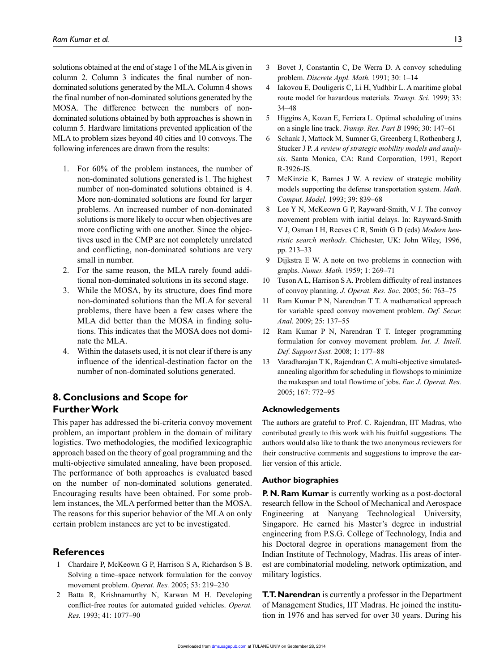solutions obtained at the end of stage 1 of the MLA is given in column 2. Column 3 indicates the final number of nondominated solutions generated by the MLA. Column 4 shows the final number of non-dominated solutions generated by the MOSA. The difference between the numbers of nondominated solutions obtained by both approaches is shown in column 5. Hardware limitations prevented application of the MLA to problem sizes beyond 40 cities and 10 convoys. The following inferences are drawn from the results:

- 1. For 60% of the problem instances, the number of non-dominated solutions generated is 1. The highest number of non-dominated solutions obtained is 4. More non-dominated solutions are found for larger problems. An increased number of non-dominated solutions is more likely to occur when objectives are more conflicting with one another. Since the objectives used in the CMP are not completely unrelated and conflicting, non-dominated solutions are very small in number.
- 2. For the same reason, the MLA rarely found additional non-dominated solutions in its second stage.
- 3. While the MOSA, by its structure, does find more non-dominated solutions than the MLA for several problems, there have been a few cases where the MLA did better than the MOSA in finding solutions. This indicates that the MOSA does not dominate the MLA.
- 4. Within the datasets used, it is not clear if there is any influence of the identical-destination factor on the number of non-dominated solutions generated.

# **8. Conclusions and Scope for Further Work**

This paper has addressed the bi-criteria convoy movement problem, an important problem in the domain of military logistics. Two methodologies, the modified lexicographic approach based on the theory of goal programming and the multi-objective simulated annealing, have been proposed. The performance of both approaches is evaluated based on the number of non-dominated solutions generated. Encouraging results have been obtained. For some problem instances, the MLA performed better than the MOSA. The reasons for this superior behavior of the MLA on only certain problem instances are yet to be investigated.

#### **References**

- 1 Chardaire P, McKeown G P, Harrison S A, Richardson S B. Solving a time–space network formulation for the convoy movement problem. *Operat. Res.* 2005; 53: 219–230
- 2 Batta R, Krishnamurthy N, Karwan M H. Developing conflict-free routes for automated guided vehicles. *Operat. Res.* 1993; 41: 1077–90
- 3 Bovet J, Constantin C, De Werra D. A convoy scheduling problem. *Discrete Appl. Math.* 1991; 30: 1–14
- 4 Iakovou E, Douligeris C, Li H, Yudhbir L. A maritime global route model for hazardous materials. *Transp. Sci.* 1999; 33: 34–48
- 5 Higgins A, Kozan E, Ferriera L. Optimal scheduling of trains on a single line track. *Transp. Res. Part B* 1996; 30: 147–61
- 6 Schank J, Mattock M, Sumner G, Greenberg I, Rothenberg J, Stucker J P. *A review of strategic mobility models and analysis*. Santa Monica, CA: Rand Corporation, 1991, Report R-3926-JS.
- 7 McKinzie K, Barnes J W. A review of strategic mobility models supporting the defense transportation system. *Math. Comput. Model.* 1993; 39: 839–68
- 8 Lee Y N, McKeown G P, Rayward-Smith, V J. The convoy movement problem with initial delays. In: Rayward-Smith V J, Osman I H, Reeves C R, Smith G D (eds) *Modern heuristic search methods*. Chichester, UK: John Wiley, 1996, pp. 213–33
- 9 Dijkstra E W. A note on two problems in connection with graphs. *Numer. Math.* 1959; 1: 269–71
- 10 Tuson A L, Harrison S A. Problem difficulty of real instances of convoy planning. *J. Operat. Res. Soc.* 2005; 56: 763–75
- 11 Ram Kumar P N, Narendran T T. A mathematical approach for variable speed convoy movement problem. *Def. Secur. Anal.* 2009; 25: 137–55
- 12 Ram Kumar P N, Narendran T T. Integer programming formulation for convoy movement problem. *Int. J. Intell. Def. Support Syst.* 2008; 1: 177–88
- 13 Varadharajan T K, Rajendran C. A multi-objective simulatedannealing algorithm for scheduling in flowshops to minimize the makespan and total flowtime of jobs. *Eur. J. Operat. Res.* 2005; 167: 772–95

#### **Acknowledgements**

The authors are grateful to Prof. C. Rajendran, IIT Madras, who contributed greatly to this work with his fruitful suggestions. The authors would also like to thank the two anonymous reviewers for their constructive comments and suggestions to improve the earlier version of this article.

#### **Author biographies**

**P. N. Ram Kumar** is currently working as a post-doctoral research fellow in the School of Mechanical and Aerospace Engineering at Nanyang Technological University, Singapore. He earned his Master's degree in industrial engineering from P.S.G. College of Technology, India and his Doctoral degree in operations management from the Indian Institute of Technology, Madras. His areas of interest are combinatorial modeling, network optimization, and military logistics.

**T.T. Narendran** is currently a professor in the Department of Management Studies, IIT Madras. He joined the institution in 1976 and has served for over 30 years. During his